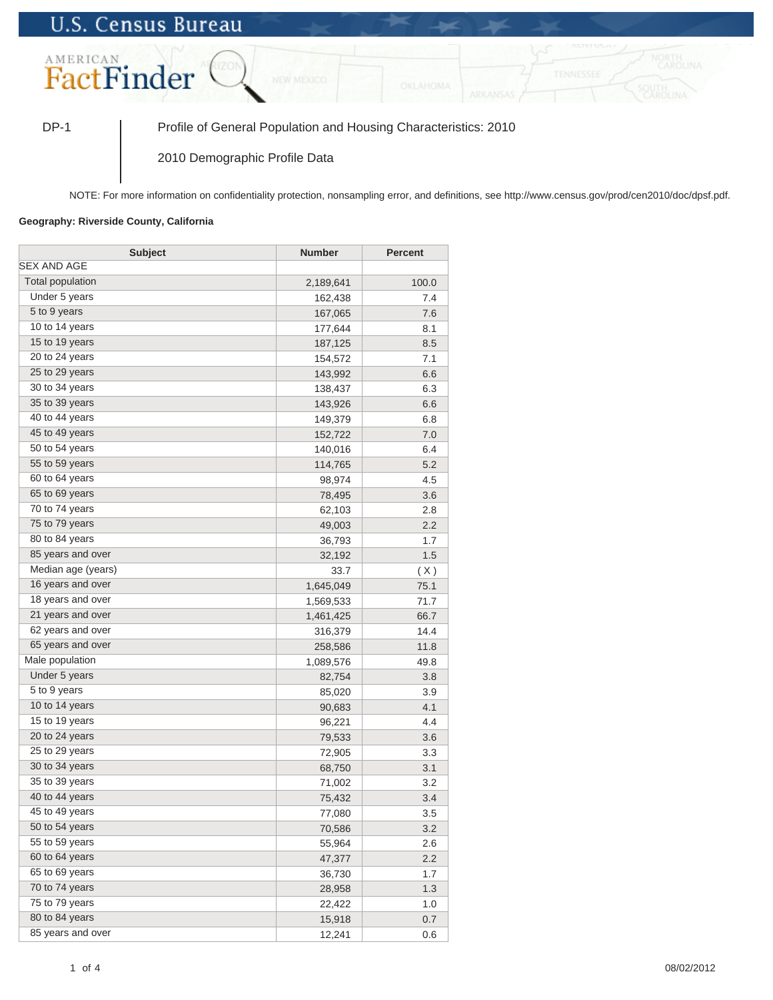## **U.S. Census Bureau**



DP-1 Profile of General Population and Housing Characteristics: 2010

2010 Demographic Profile Data

NOTE: For more information on confidentiality protection, nonsampling error, and definitions, see http://www.census.gov/prod/cen2010/doc/dpsf.pdf.

## **Geography: Riverside County, California**

| <b>Subject</b>          | <b>Number</b> | <b>Percent</b> |
|-------------------------|---------------|----------------|
| SEX AND AGE             |               |                |
| <b>Total population</b> | 2,189,641     | 100.0          |
| Under 5 years           | 162,438       | 7.4            |
| 5 to 9 years            | 167,065       | 7.6            |
| 10 to 14 years          | 177,644       | 8.1            |
| 15 to 19 years          | 187,125       | 8.5            |
| 20 to 24 years          | 154,572       | 7.1            |
| 25 to 29 years          | 143,992       | 6.6            |
| 30 to 34 years          | 138,437       | 6.3            |
| 35 to 39 years          | 143,926       | 6.6            |
| 40 to 44 years          | 149,379       | 6.8            |
| 45 to 49 years          | 152,722       | 7.0            |
| 50 to 54 years          | 140,016       | 6.4            |
| 55 to 59 years          | 114,765       | 5.2            |
| 60 to 64 years          | 98,974        | 4.5            |
| 65 to 69 years          | 78,495        | 3.6            |
| 70 to 74 years          | 62,103        | 2.8            |
| 75 to 79 years          | 49,003        | 2.2            |
| 80 to 84 years          | 36,793        | 1.7            |
| 85 years and over       | 32,192        | 1.5            |
| Median age (years)      | 33.7          | (X)            |
| 16 years and over       | 1,645,049     | 75.1           |
| 18 years and over       | 1,569,533     | 71.7           |
| 21 years and over       | 1,461,425     | 66.7           |
| 62 years and over       | 316,379       | 14.4           |
| 65 years and over       | 258,586       | 11.8           |
| Male population         | 1,089,576     | 49.8           |
| Under 5 years           | 82,754        | 3.8            |
| 5 to 9 years            | 85,020        | 3.9            |
| 10 to 14 years          | 90,683        | 4.1            |
| 15 to 19 years          | 96,221        | 4.4            |
| 20 to 24 years          | 79,533        | 3.6            |
| 25 to 29 years          | 72,905        | 3.3            |
| 30 to 34 years          | 68,750        | 3.1            |
| 35 to 39 years          | 71,002        | 3.2            |
| 40 to 44 years          | 75,432        | 3.4            |
| 45 to 49 years          | 77,080        | 3.5            |
| 50 to 54 years          | 70,586        | 3.2            |
| 55 to 59 years          | 55,964        | 2.6            |
| 60 to 64 years          | 47,377        | 2.2            |
| 65 to 69 years          | 36,730        | 1.7            |
| 70 to 74 years          | 28,958        | 1.3            |
| 75 to 79 years          | 22,422        | 1.0            |
| 80 to 84 years          | 15,918        | 0.7            |
| 85 years and over       | 12,241        | 0.6            |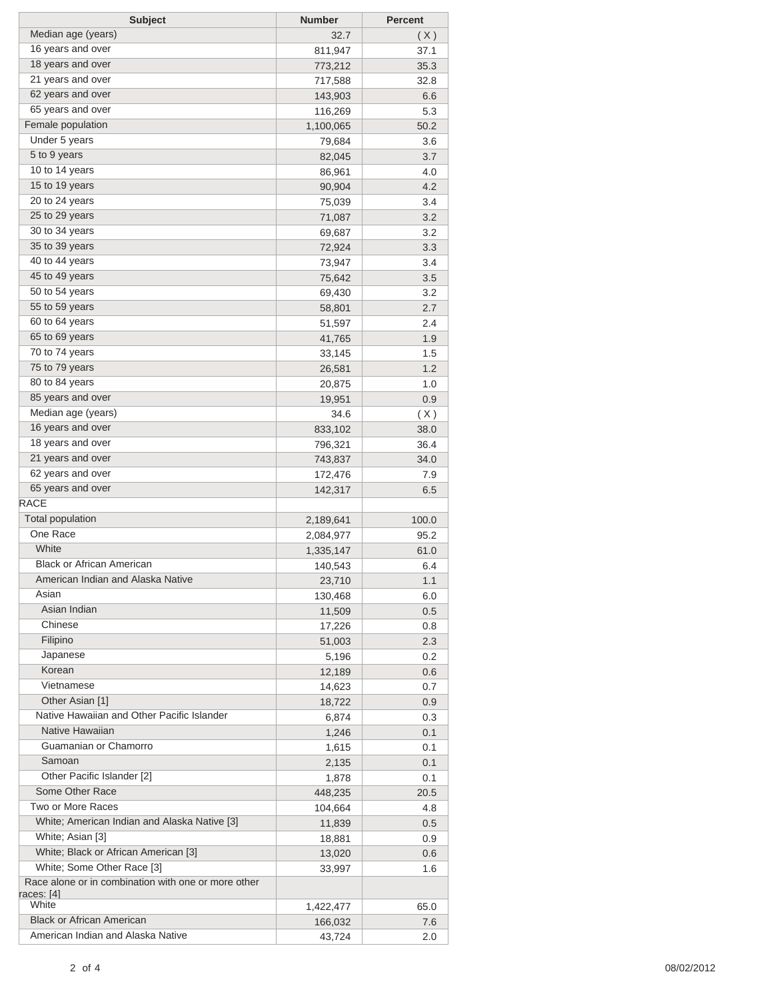| <b>Subject</b>                                                    | <b>Number</b>     | <b>Percent</b> |
|-------------------------------------------------------------------|-------------------|----------------|
| Median age (years)                                                | 32.7              | (X)            |
| 16 years and over                                                 | 811,947           | 37.1           |
| 18 years and over                                                 | 773,212           | 35.3           |
| 21 years and over                                                 | 717,588           | 32.8           |
| 62 years and over                                                 | 143,903           | 6.6            |
| 65 years and over                                                 | 116,269           | 5.3            |
| Female population                                                 | 1,100,065         | 50.2           |
| Under 5 years                                                     | 79,684            | 3.6            |
| 5 to 9 years                                                      | 82,045            | 3.7            |
| 10 to 14 years                                                    | 86,961            | 4.0            |
| 15 to 19 years                                                    | 90,904            | 4.2            |
| 20 to 24 years                                                    | 75,039            | 3.4            |
| 25 to 29 years                                                    | 71,087            | 3.2            |
| 30 to 34 years                                                    | 69,687            | 3.2            |
| 35 to 39 years                                                    | 72,924            | 3.3            |
| 40 to 44 years                                                    | 73,947            | 3.4            |
| 45 to 49 years                                                    | 75,642            | 3.5            |
| 50 to 54 years                                                    | 69,430            | 3.2            |
| 55 to 59 years                                                    | 58,801            | 2.7            |
| 60 to 64 years                                                    | 51,597            | 2.4            |
| 65 to 69 years                                                    | 41,765            | 1.9            |
| 70 to 74 years                                                    | 33,145            | 1.5            |
| 75 to 79 years                                                    | 26,581            | 1.2            |
| 80 to 84 years                                                    | 20,875            | 1.0            |
| 85 years and over                                                 | 19,951            | 0.9            |
| Median age (years)                                                | 34.6              | (X)            |
| 16 years and over                                                 | 833,102           | 38.0           |
| 18 years and over                                                 | 796,321           | 36.4           |
| 21 years and over                                                 | 743,837           | 34.0           |
| 62 years and over                                                 | 172,476           | 7.9            |
| 65 years and over                                                 | 142,317           | 6.5            |
| <b>RACE</b>                                                       |                   |                |
| <b>Total population</b>                                           | 2,189,641         | 100.0          |
| One Race                                                          | 2,084,977         | 95.2           |
| White                                                             | 1,335,147         | 61.0           |
| <b>Black or African American</b>                                  | 140,543           | 6.4            |
| American Indian and Alaska Native                                 | 23,710            | 1.1            |
| Asian                                                             |                   |                |
| Asian Indian                                                      | 130,468<br>11,509 | 6.0            |
| Chinese                                                           |                   | 0.5            |
| Filipino                                                          | 17,226            | 0.8<br>2.3     |
| Japanese                                                          | 51,003            |                |
| Korean                                                            | 5,196             | 0.2            |
| Vietnamese                                                        | 12,189            | 0.6            |
| Other Asian [1]                                                   | 14,623            | 0.7            |
| Native Hawaiian and Other Pacific Islander                        | 18,722            | 0.9            |
| Native Hawaiian                                                   | 6,874             | 0.3            |
| Guamanian or Chamorro                                             | 1,246             | 0.1            |
| Samoan                                                            | 1,615             | 0.1            |
| Other Pacific Islander [2]                                        | 2,135             | 0.1            |
| Some Other Race                                                   | 1,878             | 0.1            |
| Two or More Races                                                 | 448,235           | 20.5           |
| White; American Indian and Alaska Native [3]                      | 104,664           | 4.8            |
| White; Asian [3]                                                  | 11,839            | 0.5            |
|                                                                   | 18,881            | 0.9            |
| White; Black or African American [3]                              | 13,020            | 0.6            |
| White; Some Other Race [3]                                        | 33,997            | 1.6            |
| Race alone or in combination with one or more other<br>races: [4] |                   |                |
| White                                                             | 1,422,477         | 65.0           |
| <b>Black or African American</b>                                  | 166,032           | 7.6            |
| American Indian and Alaska Native                                 | 43,724            | 2.0            |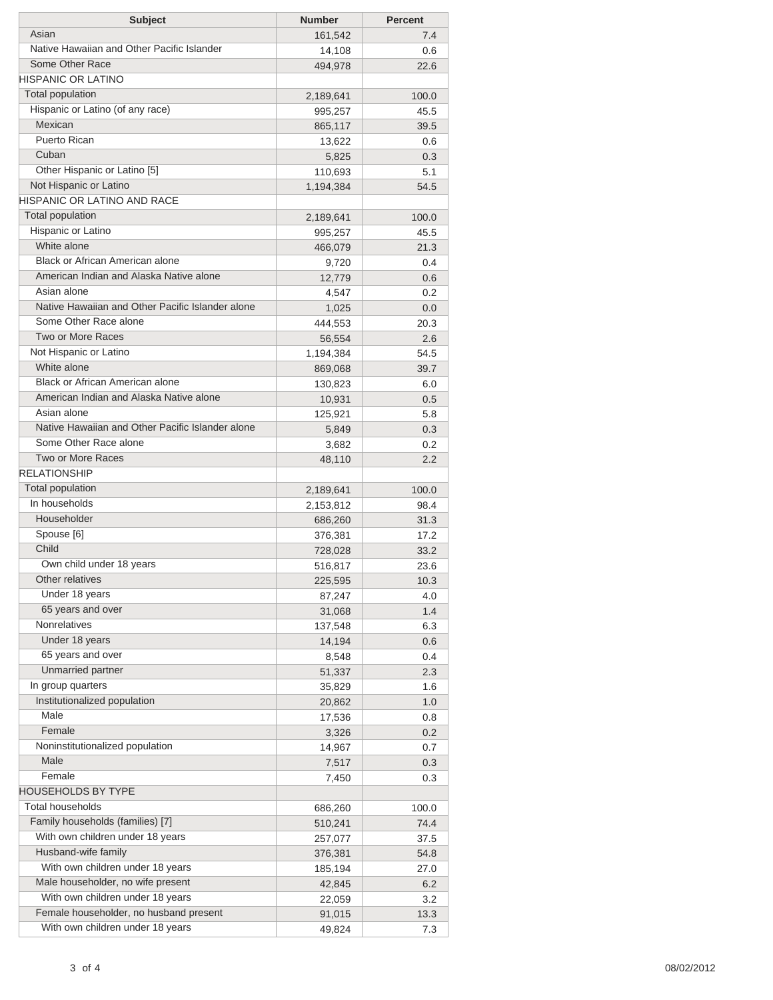| <b>Subject</b>                                                  | <b>Number</b>      | Percent      |
|-----------------------------------------------------------------|--------------------|--------------|
| Asian                                                           | 161,542            | 7.4          |
| Native Hawaiian and Other Pacific Islander                      | 14,108             | 0.6          |
| Some Other Race                                                 | 494,978            | 22.6         |
| <b>HISPANIC OR LATINO</b>                                       |                    |              |
| <b>Total population</b>                                         | 2,189,641          | 100.0        |
| Hispanic or Latino (of any race)                                | 995,257            | 45.5         |
| Mexican                                                         | 865,117            | 39.5         |
| <b>Puerto Rican</b>                                             | 13,622             | 0.6          |
| Cuban                                                           | 5,825              | 0.3          |
| Other Hispanic or Latino [5]                                    | 110,693            | 5.1          |
| Not Hispanic or Latino                                          | 1,194,384          | 54.5         |
| HISPANIC OR LATINO AND RACE                                     |                    |              |
| Total population                                                | 2,189,641          | 100.0        |
| Hispanic or Latino                                              | 995,257            | 45.5         |
| White alone                                                     | 466,079            | 21.3         |
| Black or African American alone                                 | 9,720              | 0.4          |
| American Indian and Alaska Native alone                         | 12,779             | 0.6          |
| Asian alone                                                     | 4,547              | 0.2          |
| Native Hawaiian and Other Pacific Islander alone                | 1,025              | 0.0          |
| Some Other Race alone                                           | 444,553            | 20.3         |
| Two or More Races                                               | 56,554             | 2.6          |
| Not Hispanic or Latino                                          | 1,194,384          | 54.5         |
| White alone                                                     | 869,068            | 39.7         |
| Black or African American alone                                 | 130,823            | 6.0          |
| American Indian and Alaska Native alone                         | 10,931             | 0.5          |
| Asian alone<br>Native Hawaiian and Other Pacific Islander alone | 125,921            | 5.8          |
| Some Other Race alone                                           | 5,849              | 0.3          |
| Two or More Races                                               | 3,682              | 0.2          |
| <b>RELATIONSHIP</b>                                             | 48,110             | 2.2          |
| Total population                                                |                    |              |
| In households                                                   | 2,189,641          | 100.0        |
| Householder                                                     | 2,153,812          | 98.4         |
| Spouse [6]                                                      | 686,260            | 31.3         |
| Child                                                           | 376,381            | 17.2<br>33.2 |
| Own child under 18 years                                        | 728,028            |              |
| Other relatives                                                 | 516,817<br>225,595 | 23.6<br>10.3 |
| Under 18 years                                                  | 87,247             | 4.0          |
| 65 years and over                                               | 31,068             | 1.4          |
| <b>Nonrelatives</b>                                             | 137,548            | 6.3          |
| Under 18 years                                                  | 14,194             | 0.6          |
| 65 years and over                                               | 8,548              | 0.4          |
| Unmarried partner                                               | 51,337             | 2.3          |
| In group quarters                                               | 35,829             | 1.6          |
| Institutionalized population                                    | 20,862             | 1.0          |
| Male                                                            | 17,536             | 0.8          |
| Female                                                          | 3,326              | 0.2          |
| Noninstitutionalized population                                 | 14,967             | 0.7          |
| Male                                                            | 7,517              | 0.3          |
| Female                                                          | 7,450              | 0.3          |
| <b>HOUSEHOLDS BY TYPE</b>                                       |                    |              |
| <b>Total households</b>                                         | 686,260            | 100.0        |
| Family households (families) [7]                                | 510,241            | 74.4         |
| With own children under 18 years                                | 257,077            | 37.5         |
| Husband-wife family                                             | 376,381            | 54.8         |
| With own children under 18 years                                | 185,194            | 27.0         |
| Male householder, no wife present                               | 42,845             | 6.2          |
| With own children under 18 years                                | 22,059             | 3.2          |
| Female householder, no husband present                          | 91,015             | 13.3         |
| With own children under 18 years                                | 49,824             | 7.3          |